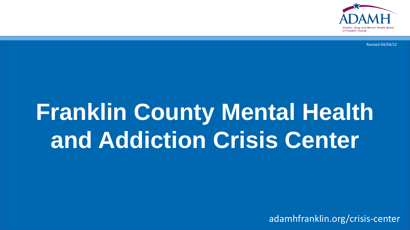

Revised 04/04/22

# **Franklin County Mental Health and Addiction Crisis Center**

adamhfranklin.org/crisis-center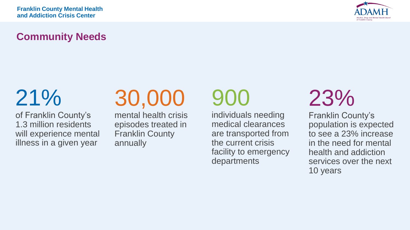

# **Community Needs**

21%

of Franklin County's 1.3 million residents will experience mental illness in a given year

# 30,000

mental health crisis episodes treated in Franklin County annually

# 900

individuals needing medical clearances are transported from the current crisis facility to emergency departments

23%

Franklin County's population is expected to see a 23% increase in the need for mental health and addiction services over the next 10 years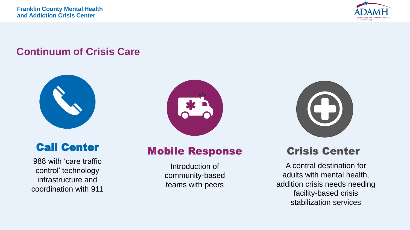

# **Continuum of Crisis Care**





988 with 'care traffic control' technology infrastructure and coordination with 911





# Mobile Response

Introduction of community-based teams with peers

# Crisis Center

A central destination for adults with mental health, addition crisis needs needing facility-based crisis stabilization services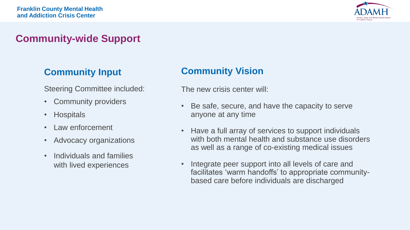

# **Community-wide Support**

### **Community Input**

Steering Committee included:

- Community providers
- Hospitals
- Law enforcement
- Advocacy organizations
- Individuals and families with lived experiences

### **Community Vision**

The new crisis center will:

- Be safe, secure, and have the capacity to serve anyone at any time
- Have a full array of services to support individuals with both mental health and substance use disorders as well as a range of co-existing medical issues
- Integrate peer support into all levels of care and facilitates 'warm handoffs' to appropriate communitybased care before individuals are discharged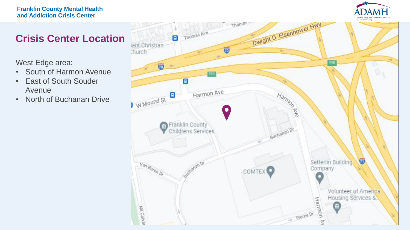#### **Franklin County Mental Health and Addiction Crisis Center**



# **Crisis Center Location**

West Edge area:

- South of Harmon Avenue
- East of South Souder Avenue
- North of Buchanan Drive

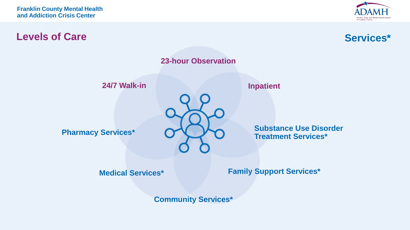

### **Levels of Care**





**Community Services\***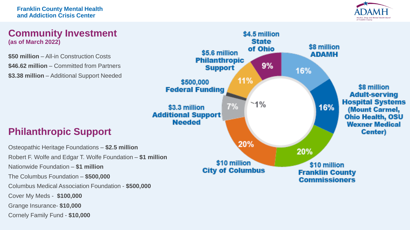

#### **Community Investment (as of March 2022)**

**\$50 million** – All-in Construction Costs **\$46.62 million** – Committed from Partners **\$3.38 million** – Additional Support Needed



# **Philanthropic Support**

Osteopathic Heritage Foundations – **\$2.5 million** Robert F. Wolfe and Edgar T. Wolfe Foundation – **\$1 million** Nationwide Foundation – **\$1 million** The Columbus Foundation – **\$500,000** Columbus Medical Association Foundation - **\$500,000** Cover My Meds - **\$100,000** Grange Insurance- **\$10,000** Cornely Family Fund - **\$10,000**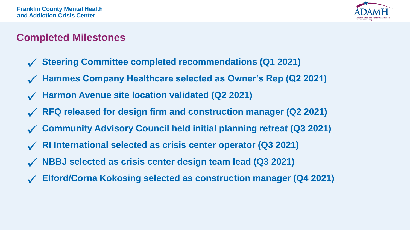

# **Completed Milestones**

- ✓ **Steering Committee completed recommendations (Q1 2021)**
- ✓ **Hammes Company Healthcare selected as Owner's Rep (Q2 2021)**
- ✓ **Harmon Avenue site location validated (Q2 2021)**
- ✓ **RFQ released for design firm and construction manager (Q2 2021)**
- **Community Advisory Council held initial planning retreat (Q3 2021)**
- ✓ **RI International selected as crisis center operator (Q3 2021)**
- ✓ **NBBJ selected as crisis center design team lead (Q3 2021)**
- ✓ **Elford/Corna Kokosing selected as construction manager (Q4 2021)**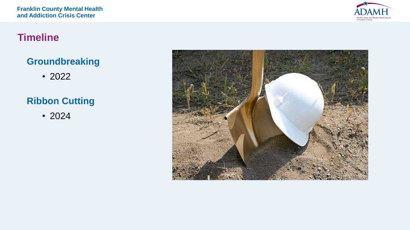

### **Timeline**

### **Groundbreaking**

• 2022

# **Ribbon Cutting**

• 2024

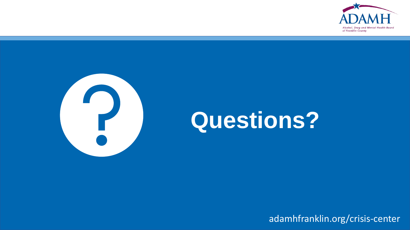



# **Questions?**

adamhfranklin.org/crisis-center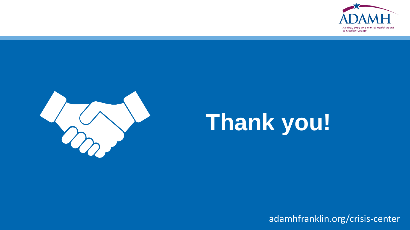



# **Thank you!**

adamhfranklin.org/crisis-center